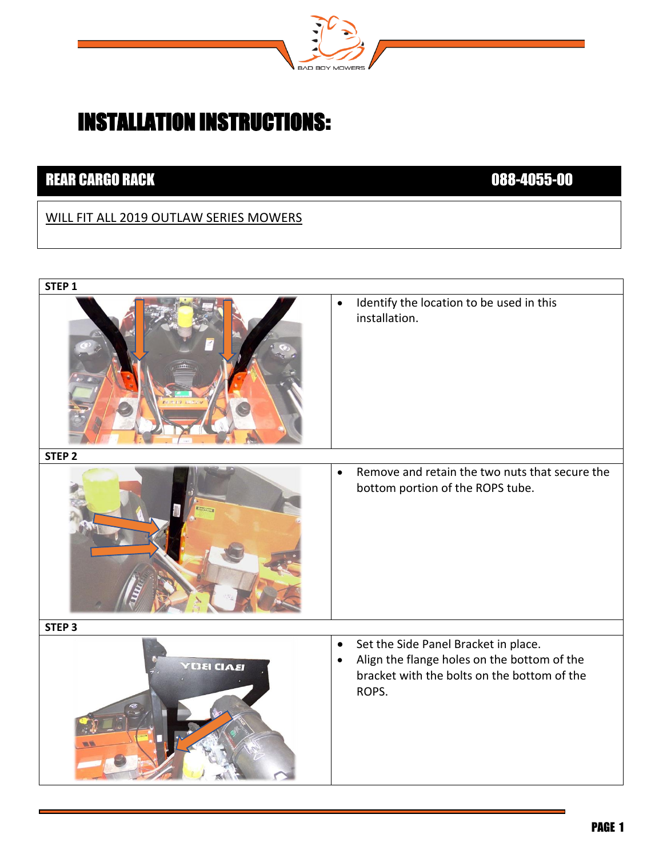

## INSTALLATION INSTRUCTIONS:

## **REAR CARGO RACK 2008-000 2008-000 2008-000 2008-000 2008-000 2008-000 2008-000 2008-000 2008-000 2008-000 2008**

## WILL FIT ALL 2019 OUTLAW SERIES MOWERS

| STEP <sub>1</sub> |                                                                                                                                                                       |
|-------------------|-----------------------------------------------------------------------------------------------------------------------------------------------------------------------|
|                   | Identify the location to be used in this<br>$\bullet$<br>installation.                                                                                                |
| STEP <sub>2</sub> |                                                                                                                                                                       |
|                   | Remove and retain the two nuts that secure the<br>$\bullet$<br>bottom portion of the ROPS tube.                                                                       |
| STEP <sub>3</sub> |                                                                                                                                                                       |
| <b>YDEI CIAEI</b> | Set the Side Panel Bracket in place.<br>$\bullet$<br>Align the flange holes on the bottom of the<br>$\bullet$<br>bracket with the bolts on the bottom of the<br>ROPS. |